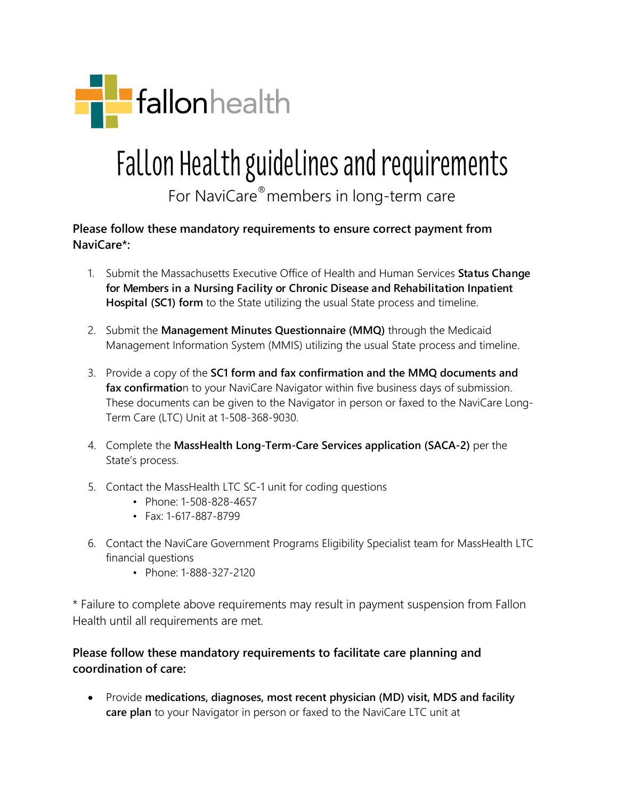

## Fallon Health guidelines and requirements

For NaviCare®members in long-term care

**Please follow these mandatory requirements to ensure correct payment from NaviCare\*:**

- 1. Submit the Massachusetts Executive Office of Health and Human Services **Status Change for Members in a Nursing Facility or Chronic Disease and Rehabilitation Inpatient Hospital (SC1) form** to the State utilizing the usual State process and timeline.
- 2. Submit the **Management Minutes Questionnaire (MMQ)** through the Medicaid Management Information System (MMIS) utilizing the usual State process and timeline.
- 3. Provide a copy of the **SC1 form and fax confirmation and the MMQ documents and**  fax confirmation to your NaviCare Navigator within five business days of submission. These documents can be given to the Navigator in person or faxed to the NaviCare Long-Term Care (LTC) Unit at 1-508-368-9030.
- 4. Complete the **MassHealth Long-Term-Care Services application (SACA-2)** per the State's process.
- 5. Contact the MassHealth LTC SC-1 unit for coding questions
	- Phone: 1-508-828-4657
	- Fax: 1-617-887-8799
- 6. Contact the NaviCare Government Programs Eligibility Specialist team for MassHealth LTC financial questions
	- Phone: 1-888-327-2120

\* Failure to complete above requirements may result in payment suspension from Fallon Health until all requirements are met*.*

## **Please follow these mandatory requirements to facilitate care planning and coordination of care:**

• Provide **medications, diagnoses, most recent physician (MD) visit, MDS and facility care plan** to your Navigator in person or faxed to the NaviCare LTC unit at